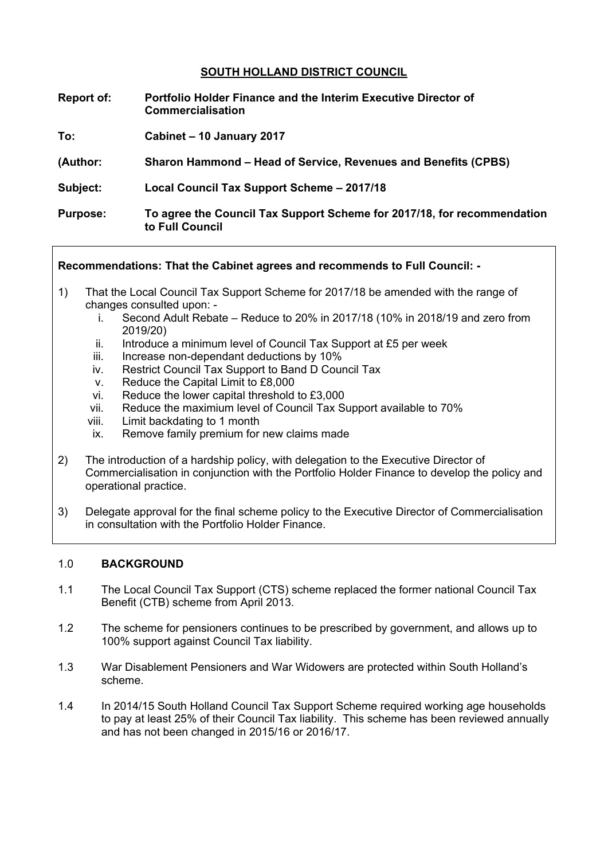## **SOUTH HOLLAND DISTRICT COUNCIL**

- **Report of: Portfolio Holder Finance and the Interim Executive Director of Commercialisation**
- **To: Cabinet – 10 January 2017**
- **(Author: Sharon Hammond – Head of Service, Revenues and Benefits (CPBS)**
- **Subject: Local Council Tax Support Scheme – 2017/18**
- **Purpose: To agree the Council Tax Support Scheme for 2017/18, for recommendation to Full Council**

### **Recommendations: That the Cabinet agrees and recommends to Full Council: -**

- 1) That the Local Council Tax Support Scheme for 2017/18 be amended with the range of changes consulted upon:
	- i. Second Adult Rebate Reduce to 20% in 2017/18 (10% in 2018/19 and zero from 2019/20)
	- ii. Introduce a minimum level of Council Tax Support at £5 per week
	- iii. Increase non-dependant deductions by 10%
	- iv. Restrict Council Tax Support to Band D Council Tax
	- v. Reduce the Capital Limit to £8,000
	- vi. Reduce the lower capital threshold to £3,000
	- vii. Reduce the maximium level of Council Tax Support available to 70%
	- viii. Limit backdating to 1 month
	- ix. Remove family premium for new claims made
- 2) The introduction of a hardship policy, with delegation to the Executive Director of Commercialisation in conjunction with the Portfolio Holder Finance to develop the policy and operational practice.
- 3) Delegate approval for the final scheme policy to the Executive Director of Commercialisation in consultation with the Portfolio Holder Finance.

### 1.0 **BACKGROUND**

- 1.1 The Local Council Tax Support (CTS) scheme replaced the former national Council Tax Benefit (CTB) scheme from April 2013.
- 1.2 The scheme for pensioners continues to be prescribed by government, and allows up to 100% support against Council Tax liability.
- 1.3 War Disablement Pensioners and War Widowers are protected within South Holland's scheme.
- 1.4 In 2014/15 South Holland Council Tax Support Scheme required working age households to pay at least 25% of their Council Tax liability. This scheme has been reviewed annually and has not been changed in 2015/16 or 2016/17.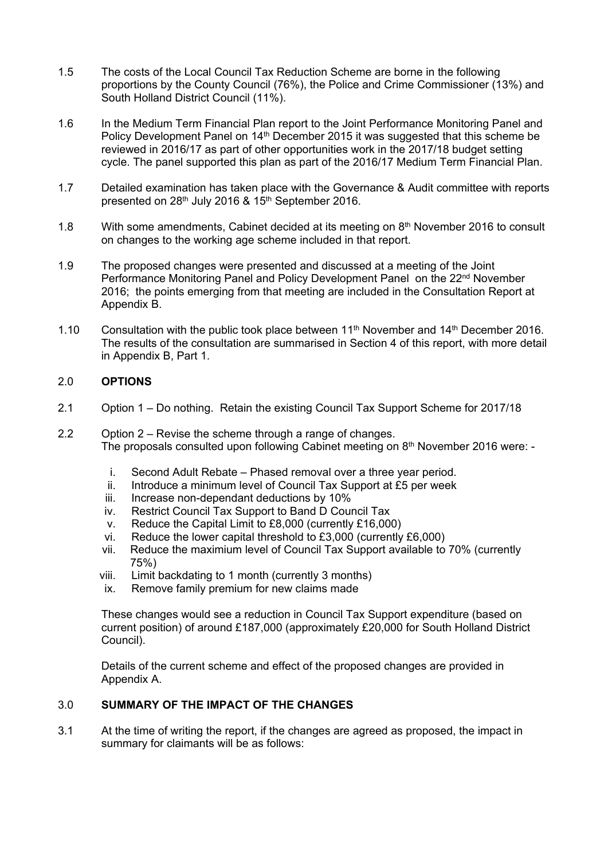- 1.5 The costs of the Local Council Tax Reduction Scheme are borne in the following proportions by the County Council (76%), the Police and Crime Commissioner (13%) and South Holland District Council (11%).
- 1.6 In the Medium Term Financial Plan report to the Joint Performance Monitoring Panel and Policy Development Panel on 14th December 2015 it was suggested that this scheme be reviewed in 2016/17 as part of other opportunities work in the 2017/18 budget setting cycle. The panel supported this plan as part of the 2016/17 Medium Term Financial Plan.
- 1.7 Detailed examination has taken place with the Governance & Audit committee with reports presented on 28<sup>th</sup> July 2016 & 15<sup>th</sup> September 2016.
- 1.8 With some amendments, Cabinet decided at its meeting on 8<sup>th</sup> November 2016 to consult on changes to the working age scheme included in that report.
- 1.9 The proposed changes were presented and discussed at a meeting of the Joint Performance Monitoring Panel and Policy Development Panel on the 22<sup>nd</sup> November 2016; the points emerging from that meeting are included in the Consultation Report at Appendix B.
- 1.10 Consultation with the public took place between 11<sup>th</sup> November and  $14<sup>th</sup>$  December 2016. The results of the consultation are summarised in Section 4 of this report, with more detail in Appendix B, Part 1.

### 2.0 **OPTIONS**

- 2.1 Option 1 Do nothing. Retain the existing Council Tax Support Scheme for 2017/18
- 2.2 Option 2 Revise the scheme through a range of changes. The proposals consulted upon following Cabinet meeting on 8<sup>th</sup> November 2016 were:
	- i. Second Adult Rebate Phased removal over a three year period.
	- ii. Introduce a minimum level of Council Tax Support at £5 per week
	- iii. Increase non-dependant deductions by 10%
	- iv. Restrict Council Tax Support to Band D Council Tax
	- v. Reduce the Capital Limit to £8,000 (currently £16,000)
	- vi. Reduce the lower capital threshold to £3,000 (currently £6,000)
	- vii. Reduce the maximium level of Council Tax Support available to 70% (currently 75%)
	- viii. Limit backdating to 1 month (currently 3 months)
	- ix. Remove family premium for new claims made

These changes would see a reduction in Council Tax Support expenditure (based on current position) of around £187,000 (approximately £20,000 for South Holland District Council).

Details of the current scheme and effect of the proposed changes are provided in Appendix A.

### 3.0 **SUMMARY OF THE IMPACT OF THE CHANGES**

3.1 At the time of writing the report, if the changes are agreed as proposed, the impact in summary for claimants will be as follows: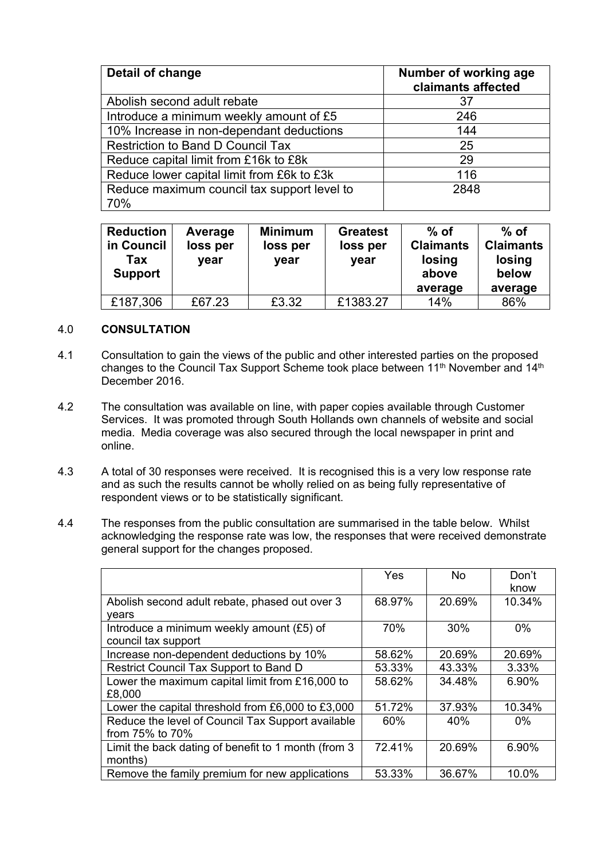| Detail of change                            | Number of working age<br>claimants affected |
|---------------------------------------------|---------------------------------------------|
| Abolish second adult rebate                 | 37                                          |
| Introduce a minimum weekly amount of £5     | 246                                         |
| 10% Increase in non-dependant deductions    | 144                                         |
| <b>Restriction to Band D Council Tax</b>    | 25                                          |
| Reduce capital limit from £16k to £8k       | 29                                          |
| Reduce lower capital limit from £6k to £3k  | 116                                         |
| Reduce maximum council tax support level to | 2848                                        |
| 70%                                         |                                             |

| <b>Reduction</b><br>in Council<br>Tax<br><b>Support</b> | Average<br>loss per<br>year | <b>Minimum</b><br>loss per<br>year | <b>Greatest</b><br>loss per<br>year | $%$ of<br><b>Claimants</b><br>losing<br>above<br>average | $%$ of<br><b>Claimants</b><br>losing<br>below<br>average |
|---------------------------------------------------------|-----------------------------|------------------------------------|-------------------------------------|----------------------------------------------------------|----------------------------------------------------------|
| £187,306                                                | £67.23                      | £3.32                              | £1383.27                            | 14%                                                      | 86%                                                      |

### 4.0 **CONSULTATION**

- 4.1 Consultation to gain the views of the public and other interested parties on the proposed changes to the Council Tax Support Scheme took place between 11<sup>th</sup> November and 14<sup>th</sup> December 2016.
- 4.2 The consultation was available on line, with paper copies available through Customer Services. It was promoted through South Hollands own channels of website and social media. Media coverage was also secured through the local newspaper in print and online.
- 4.3 A total of 30 responses were received. It is recognised this is a very low response rate and as such the results cannot be wholly relied on as being fully representative of respondent views or to be statistically significant.
- 4.4 The responses from the public consultation are summarised in the table below. Whilst acknowledging the response rate was low, the responses that were received demonstrate general support for the changes proposed.

|                                                     | Yes    | No.    | Don't<br>know |
|-----------------------------------------------------|--------|--------|---------------|
| Abolish second adult rebate, phased out over 3      | 68.97% | 20.69% | 10.34%        |
| vears                                               |        |        |               |
| Introduce a minimum weekly amount $(E5)$ of         | 70%    | 30%    | $0\%$         |
| council tax support                                 |        |        |               |
| Increase non-dependent deductions by 10%            | 58.62% | 20.69% | 20.69%        |
| Restrict Council Tax Support to Band D              | 53.33% | 43.33% | 3.33%         |
| Lower the maximum capital limit from £16,000 to     | 58.62% | 34.48% | 6.90%         |
| £8,000                                              |        |        |               |
| Lower the capital threshold from £6,000 to £3,000   | 51.72% | 37.93% | 10.34%        |
| Reduce the level of Council Tax Support available   | 60%    | 40%    | $0\%$         |
| from 75% to 70%                                     |        |        |               |
| Limit the back dating of benefit to 1 month (from 3 | 72.41% | 20.69% | 6.90%         |
| months)                                             |        |        |               |
| Remove the family premium for new applications      | 53.33% | 36.67% | 10.0%         |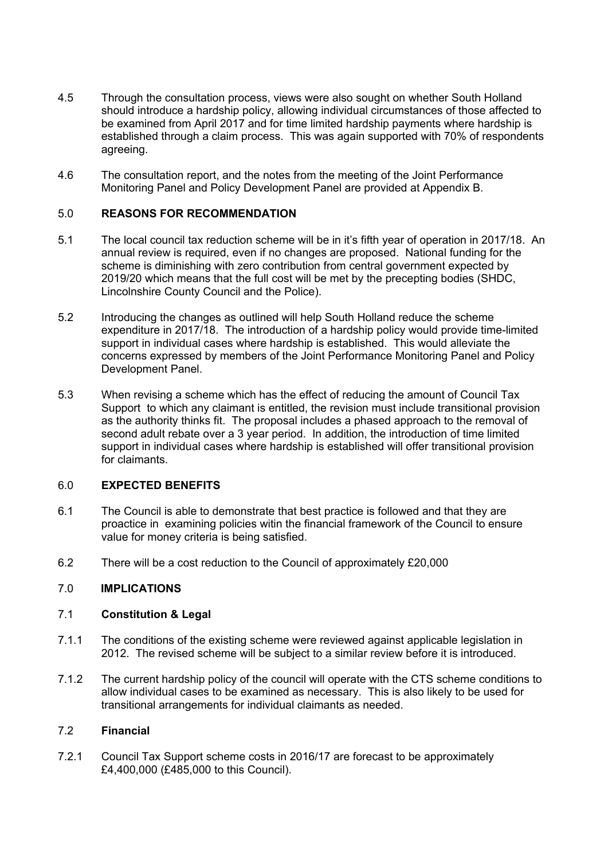- 4.5 Through the consultation process, views were also sought on whether South Holland should introduce a hardship policy, allowing individual circumstances of those affected to be examined from April 2017 and for time limited hardship payments where hardship is established through a claim process. This was again supported with 70% of respondents agreeing.
- 4.6 The consultation report, and the notes from the meeting of the Joint Performance Monitoring Panel and Policy Development Panel are provided at Appendix B.

## 5.0 **REASONS FOR RECOMMENDATION**

- 5.1 The local council tax reduction scheme will be in it's fifth year of operation in 2017/18. An annual review is required, even if no changes are proposed. National funding for the scheme is diminishing with zero contribution from central government expected by 2019/20 which means that the full cost will be met by the precepting bodies (SHDC, Lincolnshire County Council and the Police).
- 5.2 Introducing the changes as outlined will help South Holland reduce the scheme expenditure in 2017/18. The introduction of a hardship policy would provide time-limited support in individual cases where hardship is established. This would alleviate the concerns expressed by members of the Joint Performance Monitoring Panel and Policy Development Panel.
- 5.3 When revising a scheme which has the effect of reducing the amount of Council Tax Support to which any claimant is entitled, the revision must include transitional provision as the authority thinks fit. The proposal includes a phased approach to the removal of second adult rebate over a 3 year period. In addition, the introduction of time limited support in individual cases where hardship is established will offer transitional provision for claimants.

### 6.0 **EXPECTED BENEFITS**

- 6.1 The Council is able to demonstrate that best practice is followed and that they are proactice in examining policies witin the financial framework of the Council to ensure value for money criteria is being satisfied.
- 6.2 There will be a cost reduction to the Council of approximately £20,000

## 7.0 **IMPLICATIONS**

### 7.1 **Constitution & Legal**

- 7.1.1 The conditions of the existing scheme were reviewed against applicable legislation in 2012. The revised scheme will be subject to a similar review before it is introduced.
- 7.1.2 The current hardship policy of the council will operate with the CTS scheme conditions to allow individual cases to be examined as necessary. This is also likely to be used for transitional arrangements for individual claimants as needed.

### 7.2 **Financial**

7.2.1 Council Tax Support scheme costs in 2016/17 are forecast to be approximately £4,400,000 (£485,000 to this Council).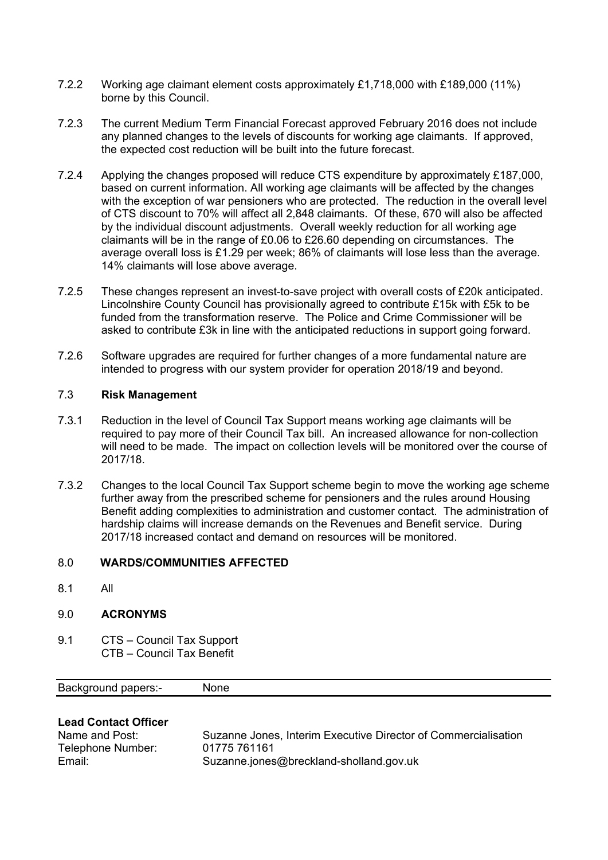- 7.2.2 Working age claimant element costs approximately £1,718,000 with £189,000 (11%) borne by this Council.
- 7.2.3 The current Medium Term Financial Forecast approved February 2016 does not include any planned changes to the levels of discounts for working age claimants. If approved, the expected cost reduction will be built into the future forecast.
- 7.2.4 Applying the changes proposed will reduce CTS expenditure by approximately £187,000, based on current information. All working age claimants will be affected by the changes with the exception of war pensioners who are protected. The reduction in the overall level of CTS discount to 70% will affect all 2,848 claimants. Of these, 670 will also be affected by the individual discount adjustments. Overall weekly reduction for all working age claimants will be in the range of £0.06 to £26.60 depending on circumstances. The average overall loss is £1.29 per week; 86% of claimants will lose less than the average. 14% claimants will lose above average.
- 7.2.5 These changes represent an invest-to-save project with overall costs of £20k anticipated. Lincolnshire County Council has provisionally agreed to contribute £15k with £5k to be funded from the transformation reserve. The Police and Crime Commissioner will be asked to contribute £3k in line with the anticipated reductions in support going forward.
- 7.2.6 Software upgrades are required for further changes of a more fundamental nature are intended to progress with our system provider for operation 2018/19 and beyond.

### 7.3 **Risk Management**

- 7.3.1 Reduction in the level of Council Tax Support means working age claimants will be required to pay more of their Council Tax bill. An increased allowance for non-collection will need to be made. The impact on collection levels will be monitored over the course of 2017/18.
- 7.3.2 Changes to the local Council Tax Support scheme begin to move the working age scheme further away from the prescribed scheme for pensioners and the rules around Housing Benefit adding complexities to administration and customer contact. The administration of hardship claims will increase demands on the Revenues and Benefit service. During 2017/18 increased contact and demand on resources will be monitored.

### 8.0 **WARDS/COMMUNITIES AFFECTED**

8.1 All

### 9.0 **ACRONYMS**

9.1 CTS – Council Tax Support CTB – Council Tax Benefit

| <b>Background papers:-</b> | None |
|----------------------------|------|
|----------------------------|------|

## **Lead Contact Officer**

| Name and Post:    | Suzanne Jones, Interim Executive Director of Commercialisation |
|-------------------|----------------------------------------------------------------|
| Telephone Number: | 01775 761161                                                   |
| Email:            | Suzanne.jones@breckland-sholland.gov.uk                        |